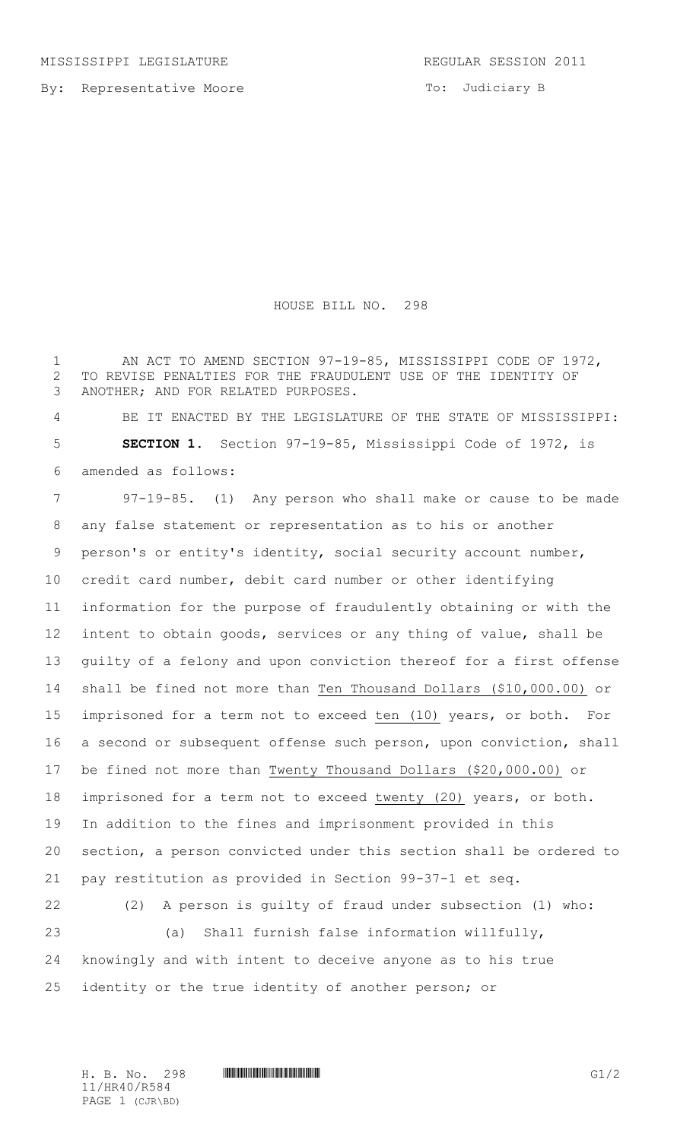By: Representative Moore

To: Judiciary B

## HOUSE BILL NO. 298

1 AN ACT TO AMEND SECTION 97-19-85, MISSISSIPPI CODE OF 1972, TO REVISE PENALTIES FOR THE FRAUDULENT USE OF THE IDENTITY OF ANOTHER; AND FOR RELATED PURPOSES.

 BE IT ENACTED BY THE LEGISLATURE OF THE STATE OF MISSISSIPPI: **SECTION 1.** Section 97-19-85, Mississippi Code of 1972, is amended as follows:

 97-19-85. (1) Any person who shall make or cause to be made any false statement or representation as to his or another person's or entity's identity, social security account number, credit card number, debit card number or other identifying information for the purpose of fraudulently obtaining or with the intent to obtain goods, services or any thing of value, shall be guilty of a felony and upon conviction thereof for a first offense shall be fined not more than Ten Thousand Dollars (\$10,000.00) or imprisoned for a term not to exceed ten (10) years, or both. For a second or subsequent offense such person, upon conviction, shall be fined not more than Twenty Thousand Dollars (\$20,000.00) or imprisoned for a term not to exceed twenty (20) years, or both. In addition to the fines and imprisonment provided in this section, a person convicted under this section shall be ordered to pay restitution as provided in Section 99-37-1 et seq. (2) A person is guilty of fraud under subsection (1) who: (a) Shall furnish false information willfully, knowingly and with intent to deceive anyone as to his true identity or the true identity of another person; or

H. B. No. 298 **HR40/R584** G1/2